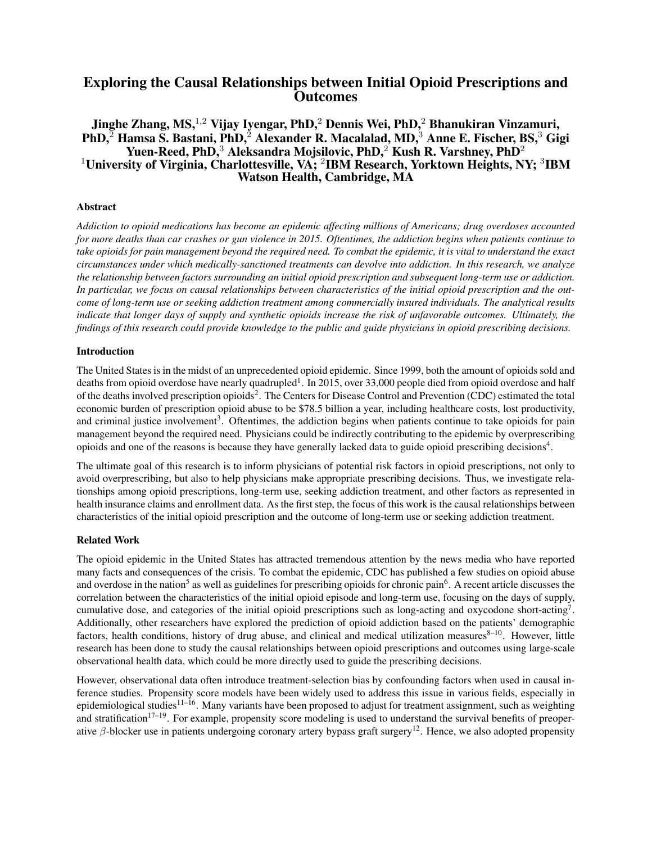# Exploring the Causal Relationships between Initial Opioid Prescriptions and **Outcomes**

# Jinghe Zhang, MS,  $^{1,2}$  Vijay Iyengar, PhD,  $^2$  Dennis Wei, PhD,  $^2$  Bhanukiran Vinzamuri,  $PhD$ ,  $\overline{P}$  Hamsa S. Bastani, PhD, $\overline{P}$  Alexander R. Macalalad, MD, $\overline{P}$  Anne E. Fischer, BS, $\overline{P}$  Gigi Yuen-Reed, PhD,<sup>3</sup> Aleksandra Mojsilovic, PhD,<sup>2</sup> Kush R. Varshney, PhD<sup>2</sup> <sup>1</sup>University of Virginia, Charlottesville, VA; <sup>2</sup>IBM Research, Yorktown Heights, NY; <sup>3</sup>IBM Watson Health, Cambridge, MA

## Abstract

*Addiction to opioid medications has become an epidemic affecting millions of Americans; drug overdoses accounted for more deaths than car crashes or gun violence in 2015. Oftentimes, the addiction begins when patients continue to take opioids for pain management beyond the required need. To combat the epidemic, it is vital to understand the exact circumstances under which medically-sanctioned treatments can devolve into addiction. In this research, we analyze the relationship between factors surrounding an initial opioid prescription and subsequent long-term use or addiction. In particular, we focus on causal relationships between characteristics of the initial opioid prescription and the outcome of long-term use or seeking addiction treatment among commercially insured individuals. The analytical results indicate that longer days of supply and synthetic opioids increase the risk of unfavorable outcomes. Ultimately, the findings of this research could provide knowledge to the public and guide physicians in opioid prescribing decisions.*

### Introduction

The United States is in the midst of an unprecedented opioid epidemic. Since 1999, both the amount of opioids sold and deaths from opioid overdose have nearly quadrupled<sup>1</sup>. In 2015, over 33,000 people died from opioid overdose and half of the deaths involved prescription opioids<sup>2</sup>. The Centers for Disease Control and Prevention (CDC) estimated the total economic burden of prescription opioid abuse to be \$78.5 billion a year, including healthcare costs, lost productivity, and criminal justice involvement<sup>3</sup>. Oftentimes, the addiction begins when patients continue to take opioids for pain management beyond the required need. Physicians could be indirectly contributing to the epidemic by overprescribing opioids and one of the reasons is because they have generally lacked data to guide opioid prescribing decisions<sup>4</sup>.

The ultimate goal of this research is to inform physicians of potential risk factors in opioid prescriptions, not only to avoid overprescribing, but also to help physicians make appropriate prescribing decisions. Thus, we investigate relationships among opioid prescriptions, long-term use, seeking addiction treatment, and other factors as represented in health insurance claims and enrollment data. As the first step, the focus of this work is the causal relationships between characteristics of the initial opioid prescription and the outcome of long-term use or seeking addiction treatment.

### Related Work

The opioid epidemic in the United States has attracted tremendous attention by the news media who have reported many facts and consequences of the crisis. To combat the epidemic, CDC has published a few studies on opioid abuse and overdose in the nation<sup>5</sup> as well as guidelines for prescribing opioids for chronic pain<sup>6</sup>. A recent article discusses the correlation between the characteristics of the initial opioid episode and long-term use, focusing on the days of supply, cumulative dose, and categories of the initial opioid prescriptions such as long-acting and oxycodone short-acting<sup>7</sup>. Additionally, other researchers have explored the prediction of opioid addiction based on the patients' demographic factors, health conditions, history of drug abuse, and clinical and medical utilization measures $8-10$ . However, little research has been done to study the causal relationships between opioid prescriptions and outcomes using large-scale observational health data, which could be more directly used to guide the prescribing decisions.

However, observational data often introduce treatment-selection bias by confounding factors when used in causal inference studies. Propensity score models have been widely used to address this issue in various fields, especially in epidemiological studies<sup>11–16</sup>. Many variants have been proposed to adjust for treatment assignment, such as weighting and stratification<sup>17–19</sup>. For example, propensity score modeling is used to understand the survival benefits of preoperative β-blocker use in patients undergoing coronary artery bypass graft surgery<sup>12</sup>. Hence, we also adopted propensity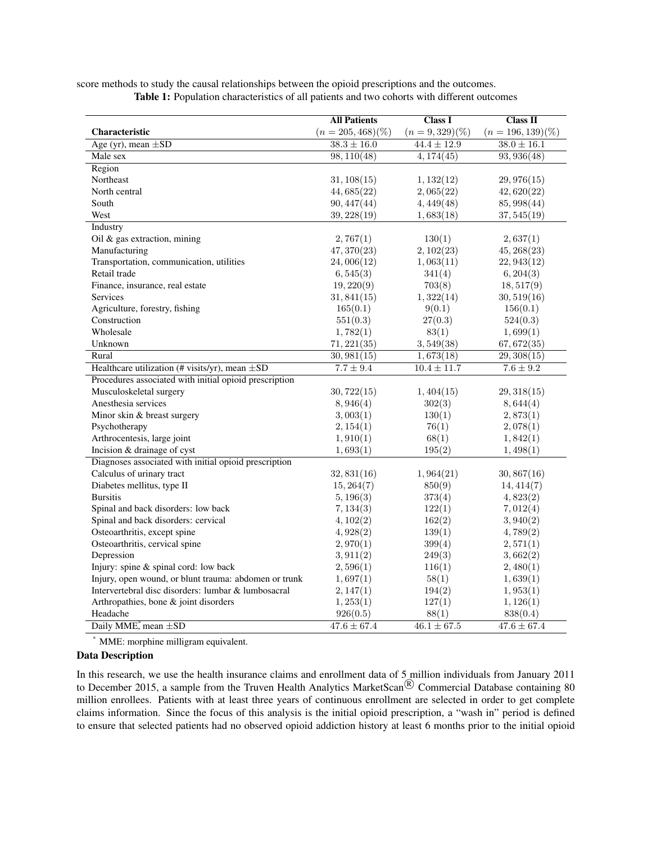|                                                        | <b>All Patients</b>        | <b>Class I</b>    | Class II             |  |
|--------------------------------------------------------|----------------------------|-------------------|----------------------|--|
| Characteristic                                         | $(n = 205, 468)(\%)$       | $(n = 9,329)(\%)$ | $(n = 196, 139)(\%)$ |  |
| Age (yr), mean $\pm SD$                                | $\overline{38.3 \pm 16.0}$ | $44.4 \pm 12.9$   | $38.0 \pm 16.1$      |  |
| Male sex                                               | $\overline{98,110(48)}$    | 4,174(45)         | 93,936(48)           |  |
| Region                                                 |                            |                   |                      |  |
| Northeast                                              | 31, 108(15)                | 1,132(12)         | 29,976(15)           |  |
| North central                                          | 44,685(22)                 | 2,065(22)         | 42,620(22)           |  |
| South                                                  | 90,447(44)                 | 4,449(48)         | 85, 998(44)          |  |
| West                                                   | 39,228(19)                 | 1,683(18)         | 37,545(19)           |  |
| Industry                                               |                            |                   |                      |  |
| Oil & gas extraction, mining                           | 2,767(1)                   | 130(1)            | 2,637(1)             |  |
| Manufacturing                                          | 47,370(23)                 | 2,102(23)         | 45,268(23)           |  |
| Transportation, communication, utilities               | 24,006(12)                 | 1,063(11)         | 22,943(12)           |  |
| Retail trade                                           | 6,545(3)                   | 341(4)            | 6, 204(3)            |  |
| Finance, insurance, real estate                        | 19,220(9)                  | 703(8)            | 18,517(9)            |  |
| Services                                               | 31,841(15)                 | 1,322(14)         | 30,519(16)           |  |
| Agriculture, forestry, fishing                         | 165(0.1)                   | 9(0.1)            | 156(0.1)             |  |
| Construction                                           | 551(0.3)                   | 27(0.3)           | 524(0.3)             |  |
| Wholesale                                              | 1,782(1)                   | 83(1)             | 1,699(1)             |  |
| Unknown                                                | 71,221(35)                 | 3,549(38)         | 67, 672(35)          |  |
| Rural                                                  | 30,981(15)                 | 1,673(18)         | 29,308(15)           |  |
| Healthcare utilization (# visits/yr), mean $\pm SD$    | $7.7 \pm 9.4$              | $10.4 \pm 11.7$   | $7.6 \pm 9.2$        |  |
| Procedures associated with initial opioid prescription |                            |                   |                      |  |
| Musculoskeletal surgery                                | 30,722(15)                 | 1,404(15)         | 29,318(15)           |  |
| Anesthesia services                                    | 8,946(4)                   | 302(3)            | 8,644(4)             |  |
| Minor skin & breast surgery                            | 3,003(1)                   | 130(1)            | 2,873(1)             |  |
| Psychotherapy                                          | 2, 154(1)                  | 76(1)             | 2,078(1)             |  |
| Arthrocentesis, large joint                            | 1,910(1)                   | 68(1)             | 1,842(1)             |  |
| Incision & drainage of cyst                            | 1,693(1)                   | 195(2)            | 1,498(1)             |  |
| Diagnoses associated with initial opioid prescription  |                            |                   |                      |  |
| Calculus of urinary tract                              | 32,831(16)                 | 1,964(21)         | 30,867(16)           |  |
| Diabetes mellitus, type II                             | 15,264(7)                  | 850(9)            | 14,414(7)            |  |
| <b>Bursitis</b>                                        | 5, 196(3)                  | 373(4)            | 4,823(2)             |  |
| Spinal and back disorders: low back                    | 7, 134(3)                  | 122(1)            | 7,012(4)             |  |
| Spinal and back disorders: cervical                    | 4,102(2)                   | 162(2)            | 3,940(2)             |  |
| Osteoarthritis, except spine                           | 4,928(2)                   | 139(1)            | 4,789(2)             |  |
| Osteoarthritis, cervical spine                         | 2,970(1)                   | 399(4)            | 2,571(1)             |  |
| Depression                                             | 3,911(2)                   | 249(3)            | 3,662(2)             |  |
| Injury: spine & spinal cord: low back                  | 2,596(1)                   | 116(1)            | 2,480(1)             |  |
| Injury, open wound, or blunt trauma: abdomen or trunk  | 1,697(1)                   | 58(1)             | 1,639(1)             |  |
| Intervertebral disc disorders: lumbar & lumbosacral    | 2,147(1)                   | 194(2)            | 1,953(1)             |  |
| Arthropathies, bone & joint disorders                  | 1,253(1)                   | 127(1)            | 1,126(1)             |  |
| Headache                                               | 926(0.5)                   | 88(1)             | 838(0.4)             |  |
| Daily MME, mean $\pm SD$                               | $47.6 \pm 67.4$            | $46.1 \pm 67.5$   | $47.6 \pm 67.4$      |  |

score methods to study the causal relationships between the opioid prescriptions and the outcomes. Table 1: Population characteristics of all patients and two cohorts with different outcomes

\* MME: morphine milligram equivalent.

### Data Description

In this research, we use the health insurance claims and enrollment data of 5 million individuals from January 2011<br>to December 2015, a sample from the Truven Health Analytics MarketScan<sup>®</sup> Commercial Database containing 8 million enrollees. Patients with at least three years of continuous enrollment are selected in order to get complete claims information. Since the focus of this analysis is the initial opioid prescription, a "wash in" period is defined to ensure that selected patients had no observed opioid addiction history at least 6 months prior to the initial opioid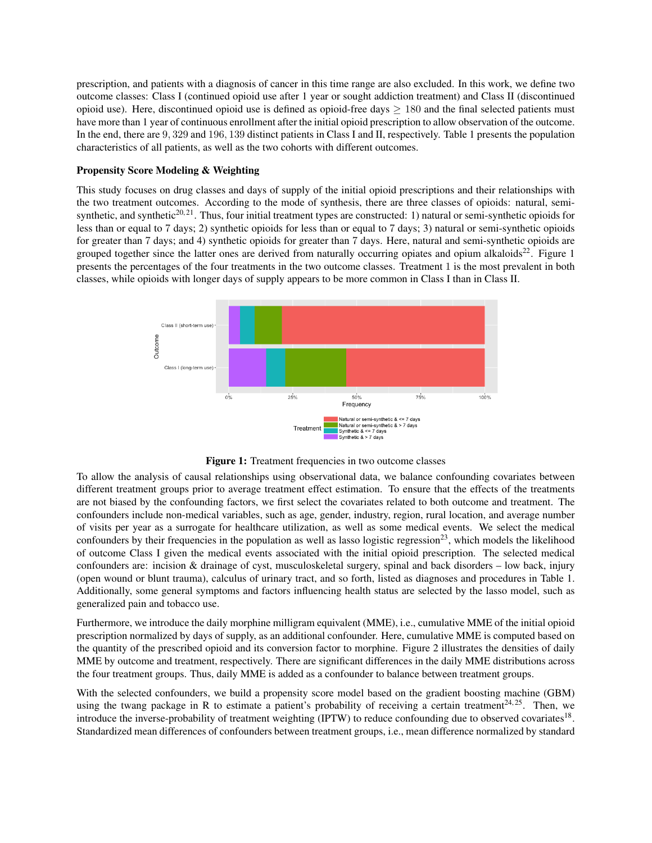prescription, and patients with a diagnosis of cancer in this time range are also excluded. In this work, we define two outcome classes: Class I (continued opioid use after 1 year or sought addiction treatment) and Class II (discontinued opioid use). Here, discontinued opioid use is defined as opioid-free days  $> 180$  and the final selected patients must have more than 1 year of continuous enrollment after the initial opioid prescription to allow observation of the outcome. In the end, there are 9, 329 and 196, 139 distinct patients in Class I and II, respectively. Table 1 presents the population characteristics of all patients, as well as the two cohorts with different outcomes.

### Propensity Score Modeling & Weighting

This study focuses on drug classes and days of supply of the initial opioid prescriptions and their relationships with the two treatment outcomes. According to the mode of synthesis, there are three classes of opioids: natural, semisynthetic, and synthetic<sup>20, 21</sup>. Thus, four initial treatment types are constructed: 1) natural or semi-synthetic opioids for less than or equal to 7 days; 2) synthetic opioids for less than or equal to 7 days; 3) natural or semi-synthetic opioids for greater than 7 days; and 4) synthetic opioids for greater than 7 days. Here, natural and semi-synthetic opioids are grouped together since the latter ones are derived from naturally occurring opiates and opium alkaloids<sup>22</sup>. Figure 1 presents the percentages of the four treatments in the two outcome classes. Treatment 1 is the most prevalent in both classes, while opioids with longer days of supply appears to be more common in Class I than in Class II.



Figure 1: Treatment frequencies in two outcome classes

To allow the analysis of causal relationships using observational data, we balance confounding covariates between different treatment groups prior to average treatment effect estimation. To ensure that the effects of the treatments are not biased by the confounding factors, we first select the covariates related to both outcome and treatment. The confounders include non-medical variables, such as age, gender, industry, region, rural location, and average number of visits per year as a surrogate for healthcare utilization, as well as some medical events. We select the medical confounders by their frequencies in the population as well as lasso logistic regression $^{23}$ , which models the likelihood of outcome Class I given the medical events associated with the initial opioid prescription. The selected medical confounders are: incision & drainage of cyst, musculoskeletal surgery, spinal and back disorders – low back, injury (open wound or blunt trauma), calculus of urinary tract, and so forth, listed as diagnoses and procedures in Table 1. Additionally, some general symptoms and factors influencing health status are selected by the lasso model, such as generalized pain and tobacco use.

Furthermore, we introduce the daily morphine milligram equivalent (MME), i.e., cumulative MME of the initial opioid prescription normalized by days of supply, as an additional confounder. Here, cumulative MME is computed based on the quantity of the prescribed opioid and its conversion factor to morphine. Figure 2 illustrates the densities of daily MME by outcome and treatment, respectively. There are significant differences in the daily MME distributions across the four treatment groups. Thus, daily MME is added as a confounder to balance between treatment groups.

With the selected confounders, we build a propensity score model based on the gradient boosting machine (GBM) using the twang package in R to estimate a patient's probability of receiving a certain treatment<sup>24, 25</sup>. Then, we introduce the inverse-probability of treatment weighting (IPTW) to reduce confounding due to observed covariates<sup>18</sup>. Standardized mean differences of confounders between treatment groups, i.e., mean difference normalized by standard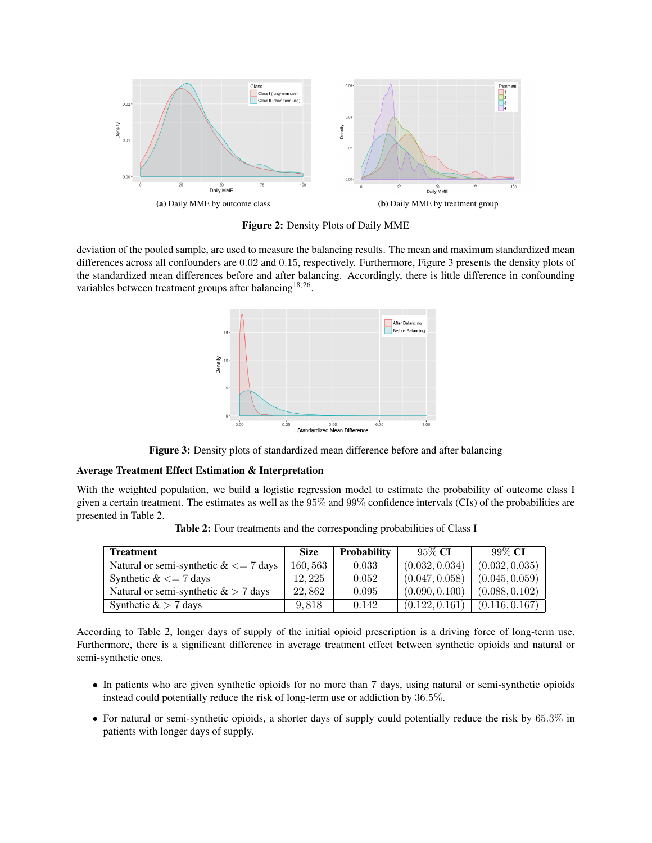

Figure 2: Density Plots of Daily MME

deviation of the pooled sample, are used to measure the balancing results. The mean and maximum standardized mean differences across all confounders are 0.02 and 0.15, respectively. Furthermore, Figure 3 presents the density plots of the standardized mean differences before and after balancing. Accordingly, there is little difference in confounding variables between treatment groups after balancing<sup>18,26</sup>.



Figure 3: Density plots of standardized mean difference before and after balancing

### Average Treatment Effect Estimation & Interpretation

With the weighted population, we build a logistic regression model to estimate the probability of outcome class I given a certain treatment. The estimates as well as the 95% and 99% confidence intervals (CIs) of the probabilities are presented in Table 2.

| <b>Treatment</b>                      | <b>Size</b> | <b>Probability</b> | $95\%$ CI      | $99\%$ CI      |
|---------------------------------------|-------------|--------------------|----------------|----------------|
| Natural or semi-synthetic $<= 7$ days | 160,563     | 0.033              | (0.032, 0.034) | (0.032, 0.035) |
| Synthetic $<= 7$ days                 | 12.225      | 0.052              | (0.047, 0.058) | (0.045, 0.059) |
| Natural or semi-synthetic $&> 7$ days | 22.862      | 0.095              | (0.090, 0.100) | (0.088, 0.102) |
| Synthetic $&> 7$ days                 | 9.818       | 0.142              | (0.122, 0.161) | (0.116, 0.167) |

Table 2: Four treatments and the corresponding probabilities of Class I

According to Table 2, longer days of supply of the initial opioid prescription is a driving force of long-term use. Furthermore, there is a significant difference in average treatment effect between synthetic opioids and natural or semi-synthetic ones.

- In patients who are given synthetic opioids for no more than 7 days, using natural or semi-synthetic opioids instead could potentially reduce the risk of long-term use or addiction by 36.5%.
- For natural or semi-synthetic opioids, a shorter days of supply could potentially reduce the risk by 65.3% in patients with longer days of supply.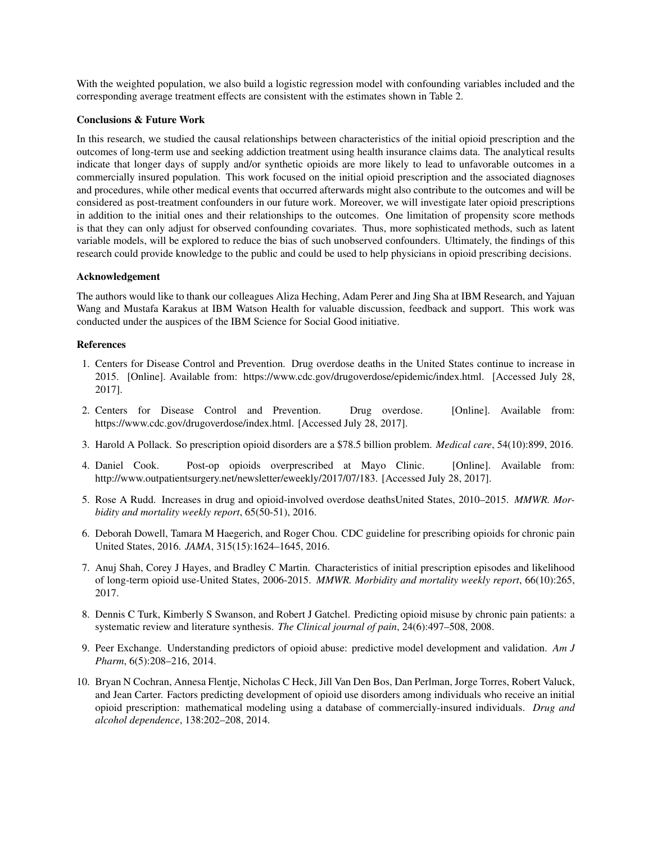With the weighted population, we also build a logistic regression model with confounding variables included and the corresponding average treatment effects are consistent with the estimates shown in Table 2.

## Conclusions & Future Work

In this research, we studied the causal relationships between characteristics of the initial opioid prescription and the outcomes of long-term use and seeking addiction treatment using health insurance claims data. The analytical results indicate that longer days of supply and/or synthetic opioids are more likely to lead to unfavorable outcomes in a commercially insured population. This work focused on the initial opioid prescription and the associated diagnoses and procedures, while other medical events that occurred afterwards might also contribute to the outcomes and will be considered as post-treatment confounders in our future work. Moreover, we will investigate later opioid prescriptions in addition to the initial ones and their relationships to the outcomes. One limitation of propensity score methods is that they can only adjust for observed confounding covariates. Thus, more sophisticated methods, such as latent variable models, will be explored to reduce the bias of such unobserved confounders. Ultimately, the findings of this research could provide knowledge to the public and could be used to help physicians in opioid prescribing decisions.

#### Acknowledgement

The authors would like to thank our colleagues Aliza Heching, Adam Perer and Jing Sha at IBM Research, and Yajuan Wang and Mustafa Karakus at IBM Watson Health for valuable discussion, feedback and support. This work was conducted under the auspices of the IBM Science for Social Good initiative.

#### References

- 1. Centers for Disease Control and Prevention. Drug overdose deaths in the United States continue to increase in 2015. [Online]. Available from: https://www.cdc.gov/drugoverdose/epidemic/index.html. [Accessed July 28, 2017].
- 2. Centers for Disease Control and Prevention. Drug overdose. [Online]. Available from: https://www.cdc.gov/drugoverdose/index.html. [Accessed July 28, 2017].
- 3. Harold A Pollack. So prescription opioid disorders are a \$78.5 billion problem. *Medical care*, 54(10):899, 2016.
- 4. Daniel Cook. Post-op opioids overprescribed at Mayo Clinic. [Online]. Available from: http://www.outpatientsurgery.net/newsletter/eweekly/2017/07/183. [Accessed July 28, 2017].
- 5. Rose A Rudd. Increases in drug and opioid-involved overdose deathsUnited States, 2010–2015. *MMWR. Morbidity and mortality weekly report*, 65(50-51), 2016.
- 6. Deborah Dowell, Tamara M Haegerich, and Roger Chou. CDC guideline for prescribing opioids for chronic pain United States, 2016. *JAMA*, 315(15):1624–1645, 2016.
- 7. Anuj Shah, Corey J Hayes, and Bradley C Martin. Characteristics of initial prescription episodes and likelihood of long-term opioid use-United States, 2006-2015. *MMWR. Morbidity and mortality weekly report*, 66(10):265, 2017.
- 8. Dennis C Turk, Kimberly S Swanson, and Robert J Gatchel. Predicting opioid misuse by chronic pain patients: a systematic review and literature synthesis. *The Clinical journal of pain*, 24(6):497–508, 2008.
- 9. Peer Exchange. Understanding predictors of opioid abuse: predictive model development and validation. *Am J Pharm*, 6(5):208–216, 2014.
- 10. Bryan N Cochran, Annesa Flentje, Nicholas C Heck, Jill Van Den Bos, Dan Perlman, Jorge Torres, Robert Valuck, and Jean Carter. Factors predicting development of opioid use disorders among individuals who receive an initial opioid prescription: mathematical modeling using a database of commercially-insured individuals. *Drug and alcohol dependence*, 138:202–208, 2014.